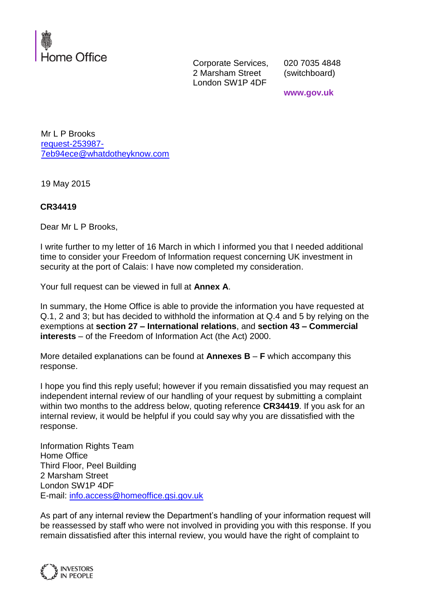

Corporate Services, 2 Marsham Street London SW1P 4DF

020 7035 4848 (switchboard)

**www.gov.uk**

Mr L P Brooks [request-253987-](mailto:xxxxxxxxxxxxxxxxxxxxxxx@xxxxxxxxxxxxxx.xxx) [7eb94ece@whatdotheyknow.com](mailto:xxxxxxxxxxxxxxxxxxxxxxx@xxxxxxxxxxxxxx.xxx)

19 May 2015

### **CR34419**

Dear Mr L P Brooks,

I write further to my letter of 16 March in which I informed you that I needed additional time to consider your Freedom of Information request concerning UK investment in security at the port of Calais: I have now completed my consideration.

Your full request can be viewed in full at **Annex A**.

In summary, the Home Office is able to provide the information you have requested at Q.1, 2 and 3; but has decided to withhold the information at Q.4 and 5 by relying on the exemptions at **section 27 – International relations**, and **section 43 – Commercial interests** – of the Freedom of Information Act (the Act) 2000.

More detailed explanations can be found at **Annexes B** – **F** which accompany this response.

I hope you find this reply useful; however if you remain dissatisfied you may request an independent internal review of our handling of your request by submitting a complaint within two months to the address below, quoting reference **CR34419**. If you ask for an internal review, it would be helpful if you could say why you are dissatisfied with the response.

Information Rights Team Home Office Third Floor, Peel Building 2 Marsham Street London SW1P 4DF E-mail: [info.access@homeoffice.gsi.gov.uk](mailto:xxxx.xxxxxx@xxxxxxxxxx.xxx.xxx.xx)

As part of any internal review the Department's handling of your information request will be reassessed by staff who were not involved in providing you with this response. If you remain dissatisfied after this internal review, you would have the right of complaint to

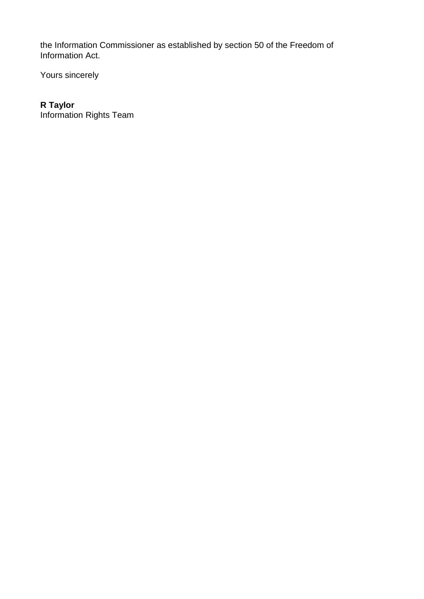the Information Commissioner as established by section 50 of the Freedom of Information Act.

Yours sincerely

# **R Taylor**

Information Rights Team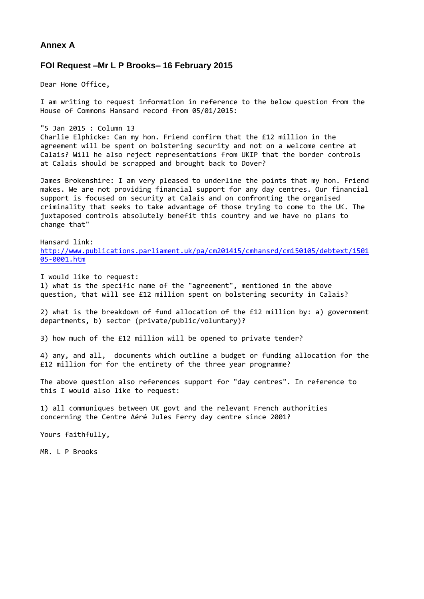#### **Annex A**

#### **FOI Request –Mr L P Brooks– 16 February 2015**

Dear Home Office,

I am writing to request information in reference to the below question from the House of Commons Hansard record from 05/01/2015:

"5 Jan 2015 : Column 13 Charlie Elphicke: Can my hon. Friend confirm that the £12 million in the agreement will be spent on bolstering security and not on a welcome centre at Calais? Will he also reject representations from UKIP that the border controls at Calais should be scrapped and brought back to Dover?

James Brokenshire: I am very pleased to underline the points that my hon. Friend makes. We are not providing financial support for any day centres. Our financial support is focused on security at Calais and on confronting the organised criminality that seeks to take advantage of those trying to come to the UK. The juxtaposed controls absolutely benefit this country and we have no plans to change that"

Hansard link: [http://www.publications.parliament.uk/pa/cm201415/cmhansrd/cm150105/debtext/1501](http://www.publications.parliament.uk/pa/cm201415/cmhansrd/cm150105/debtext/150105-0001.htm) [05-0001.htm](http://www.publications.parliament.uk/pa/cm201415/cmhansrd/cm150105/debtext/150105-0001.htm)

I would like to request: 1) what is the specific name of the "agreement", mentioned in the above question, that will see £12 million spent on bolstering security in Calais?

2) what is the breakdown of fund allocation of the £12 million by: a) government departments, b) sector (private/public/voluntary)?

3) how much of the £12 million will be opened to private tender?

4) any, and all, documents which outline a budget or funding allocation for the £12 million for for the entirety of the three year programme?

The above question also references support for "day centres". In reference to this I would also like to request:

1) all communiques between UK govt and the relevant French authorities concerning the Centre Aéré Jules Ferry day centre since 2001?

Yours faithfully,

MR. L P Brooks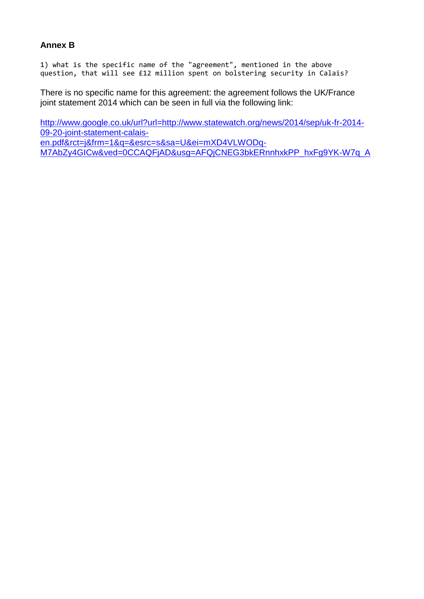## **Annex B**

1) what is the specific name of the "agreement", mentioned in the above question, that will see £12 million spent on bolstering security in Calais?

There is no specific name for this agreement: the agreement follows the UK/France joint statement 2014 which can be seen in full via the following link:

[http://www.google.co.uk/url?url=http://www.statewatch.org/news/2014/sep/uk-fr-2014-](http://www.google.co.uk/url?url=http://www.statewatch.org/news/2014/sep/uk-fr-2014-09-20-joint-statement-calais-en.pdf&rct=j&frm=1&q=&esrc=s&sa=U&ei=mXD4VLWODq-M7AbZy4GICw&ved=0CCAQFjAD&usg=AFQjCNEG3bkERnnhxkPP_hxFg9YK-W7q_A) [09-20-joint-statement-calais](http://www.google.co.uk/url?url=http://www.statewatch.org/news/2014/sep/uk-fr-2014-09-20-joint-statement-calais-en.pdf&rct=j&frm=1&q=&esrc=s&sa=U&ei=mXD4VLWODq-M7AbZy4GICw&ved=0CCAQFjAD&usg=AFQjCNEG3bkERnnhxkPP_hxFg9YK-W7q_A)[en.pdf&rct=j&frm=1&q=&esrc=s&sa=U&ei=mXD4VLWODq-](http://www.google.co.uk/url?url=http://www.statewatch.org/news/2014/sep/uk-fr-2014-09-20-joint-statement-calais-en.pdf&rct=j&frm=1&q=&esrc=s&sa=U&ei=mXD4VLWODq-M7AbZy4GICw&ved=0CCAQFjAD&usg=AFQjCNEG3bkERnnhxkPP_hxFg9YK-W7q_A)[M7AbZy4GICw&ved=0CCAQFjAD&usg=AFQjCNEG3bkERnnhxkPP\\_hxFg9YK-W7q\\_A](http://www.google.co.uk/url?url=http://www.statewatch.org/news/2014/sep/uk-fr-2014-09-20-joint-statement-calais-en.pdf&rct=j&frm=1&q=&esrc=s&sa=U&ei=mXD4VLWODq-M7AbZy4GICw&ved=0CCAQFjAD&usg=AFQjCNEG3bkERnnhxkPP_hxFg9YK-W7q_A)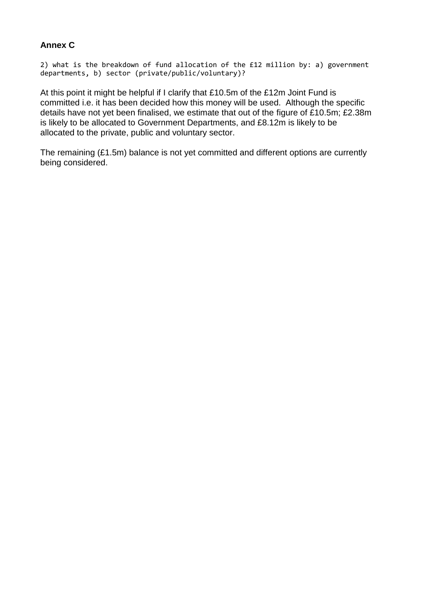# **Annex C**

```
2) what is the breakdown of fund allocation of the £12 million by: a) government 
departments, b) sector (private/public/voluntary)?
```
At this point it might be helpful if I clarify that £10.5m of the £12m Joint Fund is committed i.e. it has been decided how this money will be used. Although the specific details have not yet been finalised, we estimate that out of the figure of £10.5m; £2.38m is likely to be allocated to Government Departments, and £8.12m is likely to be allocated to the private, public and voluntary sector.

The remaining (£1.5m) balance is not yet committed and different options are currently being considered.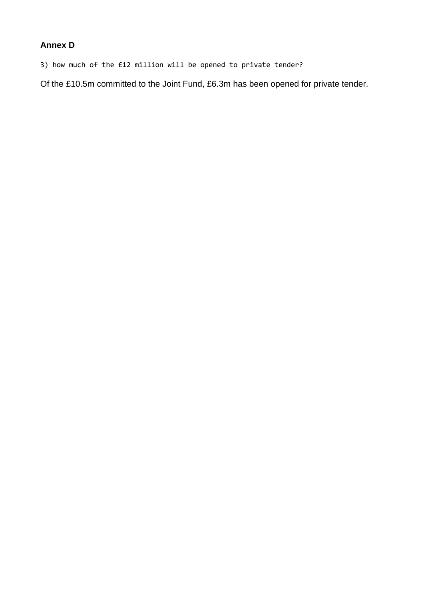# **Annex D**

3) how much of the £12 million will be opened to private tender?

Of the £10.5m committed to the Joint Fund, £6.3m has been opened for private tender.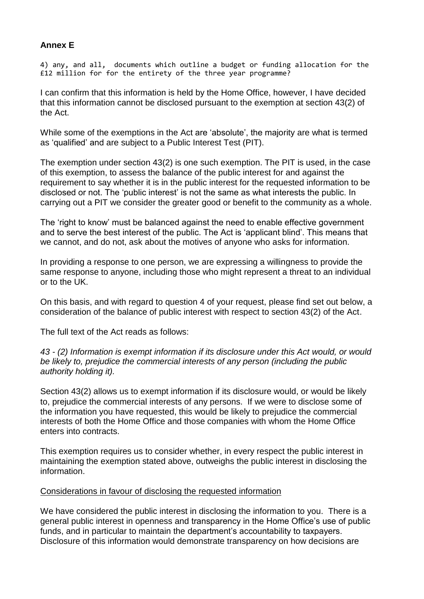# **Annex E**

4) any, and all, documents which outline a budget or funding allocation for the £12 million for for the entirety of the three year programme?

I can confirm that this information is held by the Home Office, however, I have decided that this information cannot be disclosed pursuant to the exemption at section 43(2) of the Act.

While some of the exemptions in the Act are 'absolute', the majority are what is termed as 'qualified' and are subject to a Public Interest Test (PIT).

The exemption under section 43(2) is one such exemption. The PIT is used, in the case of this exemption, to assess the balance of the public interest for and against the requirement to say whether it is in the public interest for the requested information to be disclosed or not. The 'public interest' is not the same as what interests the public. In carrying out a PIT we consider the greater good or benefit to the community as a whole.

The 'right to know' must be balanced against the need to enable effective government and to serve the best interest of the public. The Act is 'applicant blind'. This means that we cannot, and do not, ask about the motives of anyone who asks for information.

In providing a response to one person, we are expressing a willingness to provide the same response to anyone, including those who might represent a threat to an individual or to the UK.

On this basis, and with regard to question 4 of your request, please find set out below, a consideration of the balance of public interest with respect to section 43(2) of the Act.

The full text of the Act reads as follows:

*43 - (2) Information is exempt information if its disclosure under this Act would, or would be likely to, prejudice the commercial interests of any person (including the public authority holding it).*

Section 43(2) allows us to exempt information if its disclosure would, or would be likely to, prejudice the commercial interests of any persons. If we were to disclose some of the information you have requested, this would be likely to prejudice the commercial interests of both the Home Office and those companies with whom the Home Office enters into contracts.

This exemption requires us to consider whether, in every respect the public interest in maintaining the exemption stated above, outweighs the public interest in disclosing the information.

### Considerations in favour of disclosing the requested information

We have considered the public interest in disclosing the information to you. There is a general public interest in openness and transparency in the Home Office's use of public funds, and in particular to maintain the department's accountability to taxpayers. Disclosure of this information would demonstrate transparency on how decisions are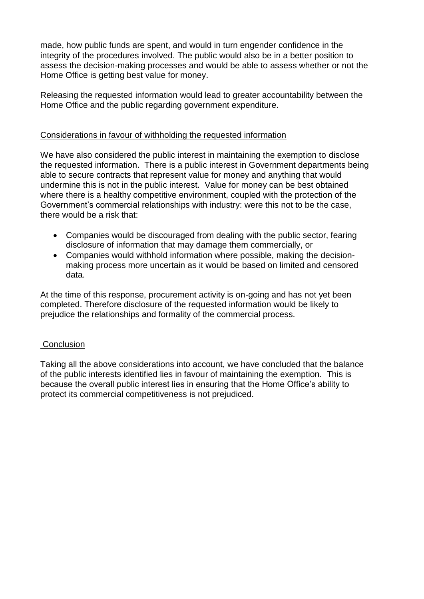made, how public funds are spent, and would in turn engender confidence in the integrity of the procedures involved. The public would also be in a better position to assess the decision-making processes and would be able to assess whether or not the Home Office is getting best value for money.

Releasing the requested information would lead to greater accountability between the Home Office and the public regarding government expenditure.

### Considerations in favour of withholding the requested information

We have also considered the public interest in maintaining the exemption to disclose the requested information. There is a public interest in Government departments being able to secure contracts that represent value for money and anything that would undermine this is not in the public interest. Value for money can be best obtained where there is a healthy competitive environment, coupled with the protection of the Government's commercial relationships with industry: were this not to be the case, there would be a risk that:

- Companies would be discouraged from dealing with the public sector, fearing disclosure of information that may damage them commercially, or
- Companies would withhold information where possible, making the decisionmaking process more uncertain as it would be based on limited and censored data.

At the time of this response, procurement activity is on-going and has not yet been completed. Therefore disclosure of the requested information would be likely to prejudice the relationships and formality of the commercial process.

### **Conclusion**

Taking all the above considerations into account, we have concluded that the balance of the public interests identified lies in favour of maintaining the exemption. This is because the overall public interest lies in ensuring that the Home Office's ability to protect its commercial competitiveness is not prejudiced.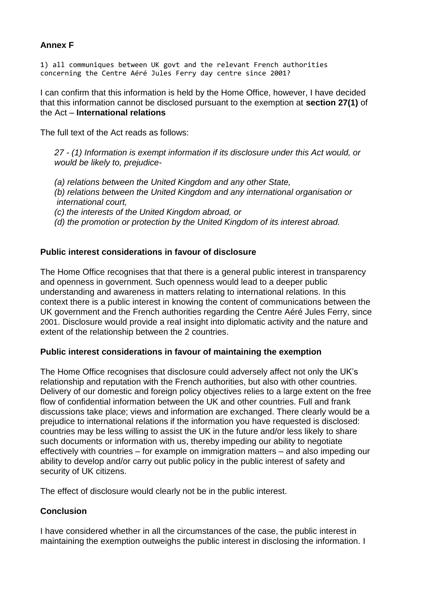# **Annex F**

1) all communiques between UK govt and the relevant French authorities concerning the Centre Aéré Jules Ferry day centre since 2001?

I can confirm that this information is held by the Home Office, however, I have decided that this information cannot be disclosed pursuant to the exemption at **section 27(1)** of the Act – **International relations**

The full text of the Act reads as follows:

*27 - (1) Information is exempt information if its disclosure under this Act would, or would be likely to, prejudice-*

*(a) relations between the United Kingdom and any other State, (b) relations between the United Kingdom and any international organisation or international court, (c) the interests of the United Kingdom abroad, or (d) the promotion or protection by the United Kingdom of its interest abroad.* 

# **Public interest considerations in favour of disclosure**

The Home Office recognises that that there is a general public interest in transparency and openness in government. Such openness would lead to a deeper public understanding and awareness in matters relating to international relations. In this context there is a public interest in knowing the content of communications between the UK government and the French authorities regarding the Centre Aéré Jules Ferry, since 2001. Disclosure would provide a real insight into diplomatic activity and the nature and extent of the relationship between the 2 countries.

### **Public interest considerations in favour of maintaining the exemption**

The Home Office recognises that disclosure could adversely affect not only the UK's relationship and reputation with the French authorities, but also with other countries. Delivery of our domestic and foreign policy objectives relies to a large extent on the free flow of confidential information between the UK and other countries. Full and frank discussions take place; views and information are exchanged. There clearly would be a prejudice to international relations if the information you have requested is disclosed: countries may be less willing to assist the UK in the future and/or less likely to share such documents or information with us, thereby impeding our ability to negotiate effectively with countries – for example on immigration matters – and also impeding our ability to develop and/or carry out public policy in the public interest of safety and security of UK citizens.

The effect of disclosure would clearly not be in the public interest.

### **Conclusion**

I have considered whether in all the circumstances of the case, the public interest in maintaining the exemption outweighs the public interest in disclosing the information. I